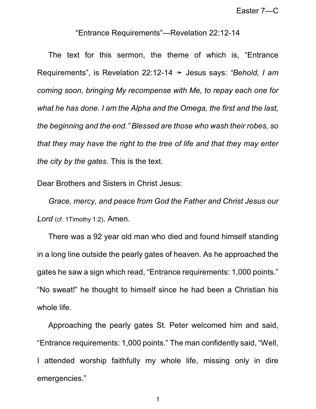## "Entrance Requirements"—Revelation 22:12-14

The text for this sermon, the theme of which is, "Entrance Requirements", is Revelation 22:12-14 → Jesus says: "Behold, I am *coming soon, bringing My recompense with Me, to repay each one for what he has done. I am the Alpha and the Omega, the first and the last, the beginning and the end." Blessed are those who wash their robes, so that they may have the right to the tree of life and that they may enter the city by the gates.* This is the text.

Dear Brothers and Sisters in Christ Jesus:

*Grace, mercy, and peace from God the Father and Christ Jesus our Lord* (cf. 1Timothy 1:2). Amen.

There was a 92 year old man who died and found himself standing in a long line outside the pearly gates of heaven. As he approached the gates he saw a sign which read, "Entrance requirements: 1,000 points." "No sweat!" he thought to himself since he had been a Christian his whole life.

Approaching the pearly gates St. Peter welcomed him and said, "Entrance requirements: 1,000 points." The man confidently said, "Well, I attended worship faithfully my whole life, missing only in dire emergencies."

1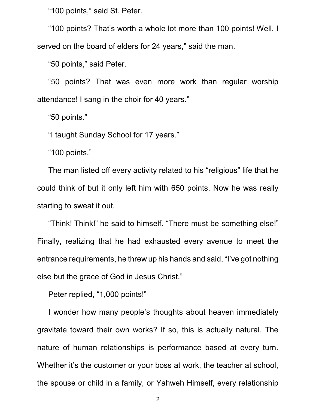"100 points," said St. Peter.

"100 points? That's worth a whole lot more than 100 points! Well, I served on the board of elders for 24 years," said the man.

"50 points," said Peter.

"50 points? That was even more work than regular worship attendance! I sang in the choir for 40 years."

"50 points."

"I taught Sunday School for 17 years."

"100 points."

The man listed off every activity related to his "religious" life that he could think of but it only left him with 650 points. Now he was really starting to sweat it out.

"Think! Think!" he said to himself. "There must be something else!" Finally, realizing that he had exhausted every avenue to meet the entrance requirements, he threw up his hands and said, "I've got nothing else but the grace of God in Jesus Christ."

Peter replied, "1,000 points!"

I wonder how many people's thoughts about heaven immediately gravitate toward their own works? If so, this is actually natural. The nature of human relationships is performance based at every turn. Whether it's the customer or your boss at work, the teacher at school, the spouse or child in a family, or Yahweh Himself, every relationship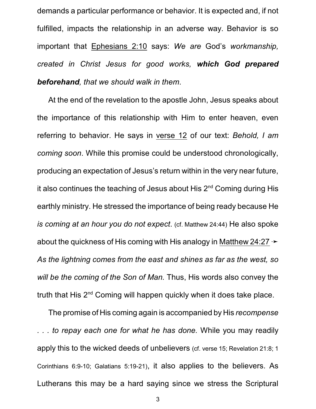demands a particular performance or behavior. It is expected and, if not fulfilled, impacts the relationship in an adverse way. Behavior is so important that Ephesians 2:10 says: *We are* God's *workmanship, created in Christ Jesus for good works, which God prepared beforehand, that we should walk in them*.

At the end of the revelation to the apostle John, Jesus speaks about the importance of this relationship with Him to enter heaven, even referring to behavior. He says in verse 12 of our text: *Behold, I am coming soon*. While this promise could be understood chronologically, producing an expectation of Jesus's return within in the very near future, it also continues the teaching of Jesus about His 2<sup>nd</sup> Coming during His earthly ministry. He stressed the importance of being ready because He *is coming at an hour you do not expect*. (cf. Matthew 24:44) He also spoke about the quickness of His coming with His analogy in Matthew 24:27  $\rightarrow$ *As the lightning comes from the east and shines as far as the west, so will be the coming of the Son of Man.* Thus, His words also convey the truth that His 2<sup>nd</sup> Coming will happen quickly when it does take place.

The promise of His coming again is accompanied by His *recompense . . . to repay each one for what he has done.* While you may readily apply this to the wicked deeds of unbelievers (cf. verse 15; Revelation 21:8; 1 Corinthians 6:9-10; Galatians 5:19-21), it also applies to the believers. As Lutherans this may be a hard saying since we stress the Scriptural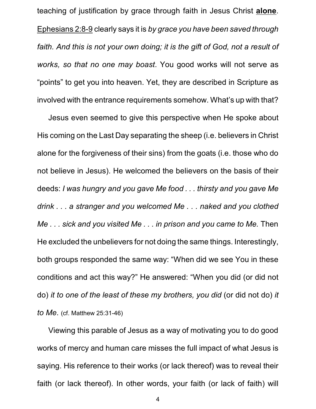teaching of justification by grace through faith in Jesus Christ **alone**. Ephesians 2:8-9 clearly says it is *by grace you have been saved through faith. And this is not your own doing; it is the gift of God, not a result of works, so that no one may boast*. You good works will not serve as "points" to get you into heaven. Yet, they are described in Scripture as involved with the entrance requirements somehow. What's up with that?

Jesus even seemed to give this perspective when He spoke about His coming on the Last Day separating the sheep (i.e. believers in Christ alone for the forgiveness of their sins) from the goats (i.e. those who do not believe in Jesus). He welcomed the believers on the basis of their deeds: *I was hungry and you gave Me food . . . thirsty and you gave Me drink . . . a stranger and you welcomed Me . . . naked and you clothed Me . . . sick and you visited Me . . . in prison and you came to Me.* Then He excluded the unbelievers for not doing the same things. Interestingly, both groups responded the same way: "When did we see You in these conditions and act this way?" He answered: "When you did (or did not do) *it to one of the least of these my brothers, you did* (or did not do) *it to Me*. (cf. Matthew 25:31-46)

Viewing this parable of Jesus as a way of motivating you to do good works of mercy and human care misses the full impact of what Jesus is saying. His reference to their works (or lack thereof) was to reveal their faith (or lack thereof). In other words, your faith (or lack of faith) will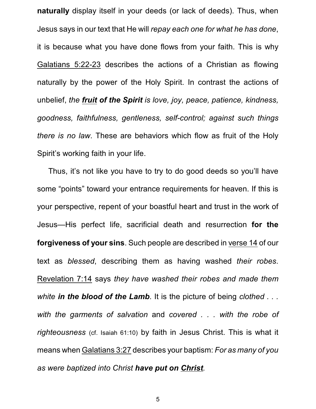**naturally** display itself in your deeds (or lack of deeds). Thus, when Jesus says in our text that He will *repay each one for what he has done*, it is because what you have done flows from your faith. This is why Galatians 5:22-23 describes the actions of a Christian as flowing naturally by the power of the Holy Spirit. In contrast the actions of unbelief, *the fruit of the Spirit is love, joy, peace, patience, kindness, goodness, faithfulness, gentleness, self-control; against such things there is no law*. These are behaviors which flow as fruit of the Holy Spirit's working faith in your life.

Thus, it's not like you have to try to do good deeds so you'll have some "points" toward your entrance requirements for heaven. If this is your perspective, repent of your boastful heart and trust in the work of Jesus—His perfect life, sacrificial death and resurrection **for the forgiveness of your sins**. Such people are described in verse 14 of our text as *blessed*, describing them as having washed *their robes*. Revelation 7:14 says *they have washed their robes and made them white in the blood of the Lamb*. It is the picture of being *clothed . . . with the garments of salvation* and *covered . . . with the robe of righteousness* (cf. Isaiah 61:10) by faith in Jesus Christ. This is what it means when Galatians 3:27 describes your baptism: *For as many of you as were baptized into Christ have put on Christ.*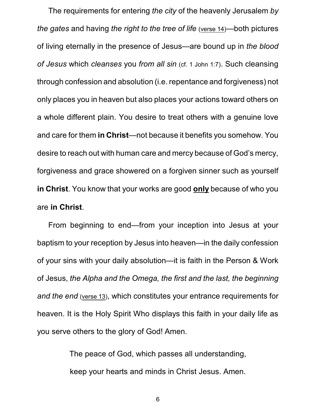The requirements for entering *the city* of the heavenly Jerusalem *by the gates* and having *the right to the tree of life* (verse 14)—both pictures of living eternally in the presence of Jesus—are bound up in *the blood of Jesus* which *cleanses* you *from all sin* (cf. 1 John 1:7). Such cleansing through confession and absolution (i.e. repentance and forgiveness) not only places you in heaven but also places your actions toward others on a whole different plain. You desire to treat others with a genuine love and care for them **in Christ**—not because it benefits you somehow. You desire to reach out with human care and mercy because of God's mercy, forgiveness and grace showered on a forgiven sinner such as yourself **in Christ**. You know that your works are good **only** because of who you are **in Christ**.

From beginning to end—from your inception into Jesus at your baptism to your reception by Jesus into heaven—in the daily confession of your sins with your daily absolution—it is faith in the Person & Work of Jesus, *the Alpha and the Omega, the first and the last, the beginning and the end* (verse 13), which constitutes your entrance requirements for heaven. It is the Holy Spirit Who displays this faith in your daily life as you serve others to the glory of God! Amen.

> The peace of God, which passes all understanding, keep your hearts and minds in Christ Jesus. Amen.